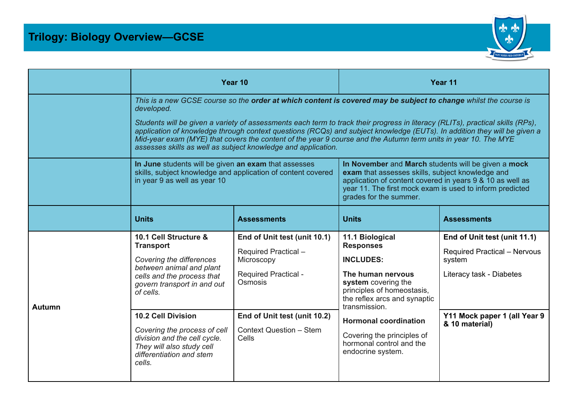

|        |                                                                                                                                                                                                                                                                                                                                                                                                                                                                                                                                                                                 | Year 10                                                                                                                                            | Year 11                                                                                                                                                                                                                                                                                           |                                                                                                                                           |  |  |  |
|--------|---------------------------------------------------------------------------------------------------------------------------------------------------------------------------------------------------------------------------------------------------------------------------------------------------------------------------------------------------------------------------------------------------------------------------------------------------------------------------------------------------------------------------------------------------------------------------------|----------------------------------------------------------------------------------------------------------------------------------------------------|---------------------------------------------------------------------------------------------------------------------------------------------------------------------------------------------------------------------------------------------------------------------------------------------------|-------------------------------------------------------------------------------------------------------------------------------------------|--|--|--|
|        | This is a new GCSE course so the order at which content is covered may be subject to change whilst the course is<br>developed.<br>Students will be given a variety of assessments each term to track their progress in literacy (RLITs), practical skills (RPs),<br>application of knowledge through context questions (RCQs) and subject knowledge (EUTs). In addition they will be given a<br>Mid-year exam (MYE) that covers the content of the year 9 course and the Autumn term units in year 10. The MYE<br>assesses skills as well as subject knowledge and application. |                                                                                                                                                    |                                                                                                                                                                                                                                                                                                   |                                                                                                                                           |  |  |  |
|        | In June students will be given an exam that assesses<br>skills, subject knowledge and application of content covered<br>in year 9 as well as year 10                                                                                                                                                                                                                                                                                                                                                                                                                            |                                                                                                                                                    | In November and March students will be given a mock<br>exam that assesses skills, subject knowledge and<br>application of content covered in years 9 & 10 as well as<br>year 11. The first mock exam is used to inform predicted<br>grades for the summer.                                        |                                                                                                                                           |  |  |  |
|        | <b>Units</b>                                                                                                                                                                                                                                                                                                                                                                                                                                                                                                                                                                    | <b>Assessments</b>                                                                                                                                 | <b>Units</b>                                                                                                                                                                                                                                                                                      | <b>Assessments</b>                                                                                                                        |  |  |  |
| Autumn | 10.1 Cell Structure &<br><b>Transport</b><br>Covering the differences<br>between animal and plant<br>cells and the process that<br>govern transport in and out<br>of cells.<br><b>10.2 Cell Division</b>                                                                                                                                                                                                                                                                                                                                                                        | End of Unit test (unit 10.1)<br>Required Practical-<br>Microscopy<br><b>Required Practical -</b><br><b>Osmosis</b><br>End of Unit test (unit 10.2) | 11.1 Biological<br><b>Responses</b><br><b>INCLUDES:</b><br>The human nervous<br>system covering the<br>principles of homeostasis,<br>the reflex arcs and synaptic<br>transmission.<br><b>Hormonal coordination</b><br>Covering the principles of<br>hormonal control and the<br>endocrine system. | End of Unit test (unit 11.1)<br><b>Required Practical - Nervous</b><br>system<br>Literacy task - Diabetes<br>Y11 Mock paper 1 (all Year 9 |  |  |  |
|        | Covering the process of cell<br>division and the cell cycle.<br>They will also study cell<br>differentiation and stem<br>cells.                                                                                                                                                                                                                                                                                                                                                                                                                                                 | <b>Context Question - Stem</b><br>Cells                                                                                                            |                                                                                                                                                                                                                                                                                                   | & 10 material)                                                                                                                            |  |  |  |